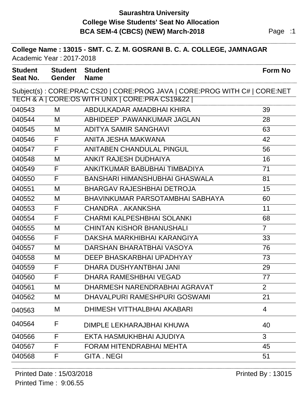# **Saurashtra University BCA SEM-4 (CBCS) (NEW) March-2018** Page :1 **College Wise Students' Seat No Allocation**

| College Name: 13015 - SMT. C. Z. M. GOSRANI B. C. A. COLLEGE, JAMNAGAR<br>Academic Year: 2017-2018 |                                 |                                                                                                                               |                |  |  |  |
|----------------------------------------------------------------------------------------------------|---------------------------------|-------------------------------------------------------------------------------------------------------------------------------|----------------|--|--|--|
| <b>Student</b><br>Seat No.                                                                         | <b>Student</b><br><b>Gender</b> | <b>Student</b><br><b>Name</b>                                                                                                 | <b>Form No</b> |  |  |  |
|                                                                                                    |                                 | Subject(s): CORE:PRAC CS20   CORE:PROG JAVA   CORE:PROG WITH C#   CORE:NET<br>TECH & A   CORE:OS WITH UNIX   CORE:PRA CS19&22 |                |  |  |  |
| 040543                                                                                             | M                               | ABDULKADAR AMADBHAI KHIRA                                                                                                     | 39             |  |  |  |
| 040544                                                                                             | M                               | ABHIDEEP PAWANKUMAR JAGLAN                                                                                                    | 28             |  |  |  |
| 040545                                                                                             | M                               | <b>ADITYA SAMIR SANGHAVI</b>                                                                                                  | 63             |  |  |  |
| 040546                                                                                             | F                               | ANITA JESHA MAKWANA                                                                                                           | 42             |  |  |  |
| 040547                                                                                             | F                               | <b>ANITABEN CHANDULAL PINGUL</b>                                                                                              | 56             |  |  |  |
| 040548                                                                                             | М                               | ANKIT RAJESH DUDHAIYA                                                                                                         | 16             |  |  |  |
| 040549                                                                                             | F                               | ANKITKUMAR BABUBHAI TIMBADIYA                                                                                                 | 71             |  |  |  |
| 040550                                                                                             | F                               | BANSHARI HIMANSHUBHAI GHASWALA                                                                                                | 81             |  |  |  |
| 040551                                                                                             | M                               | <b>BHARGAV RAJESHBHAI DETROJA</b>                                                                                             | 15             |  |  |  |
| 040552                                                                                             | M                               | BHAVINKUMAR PARSOTAMBHAI SABHAYA                                                                                              | 60             |  |  |  |
| 040553                                                                                             | F                               | CHANDRA, AKANKSHA                                                                                                             | 11             |  |  |  |
| 040554                                                                                             | F                               | <b>CHARMI KALPESHBHAI SOLANKI</b>                                                                                             | 68             |  |  |  |
| 040555                                                                                             | M                               | <b>CHINTAN KISHOR BHANUSHALI</b>                                                                                              | $\overline{7}$ |  |  |  |
| 040556                                                                                             | F                               | DAKSHA MARKHIBHAI KARANGIYA                                                                                                   | 33             |  |  |  |
| 040557                                                                                             | M                               | DARSHAN BHARATBHAI VASOYA                                                                                                     | 76             |  |  |  |
| 040558                                                                                             | M                               | DEEP BHASKARBHAI UPADHYAY                                                                                                     | 73             |  |  |  |
| 040559                                                                                             | F                               | DHARA DUSHYANTBHAI JANI                                                                                                       | 29             |  |  |  |
| 040560                                                                                             | F                               | DHARA RAMESHBHAI VEGAD                                                                                                        | 77             |  |  |  |
| 040561                                                                                             | M                               | DHARMESH NARENDRABHAI AGRAVAT                                                                                                 | 2              |  |  |  |
| 040562                                                                                             | M                               | DHAVALPURI RAMESHPURI GOSWAMI                                                                                                 | 21             |  |  |  |
| 040563                                                                                             | M                               | DHIMESH VITTHALBHAI AKABARI                                                                                                   | $\overline{4}$ |  |  |  |
| 040564                                                                                             | F                               | DIMPLE LEKHARAJBHAI KHUWA                                                                                                     | 40             |  |  |  |
| 040566                                                                                             | F                               | EKTA HASMUKHBHAI AJUDIYA                                                                                                      | 3              |  |  |  |
| 040567                                                                                             | F                               | FORAM HITENDRABHAI MEHTA                                                                                                      | 45             |  |  |  |
| 040568                                                                                             | F                               | <b>GITA.NEGI</b>                                                                                                              | 51             |  |  |  |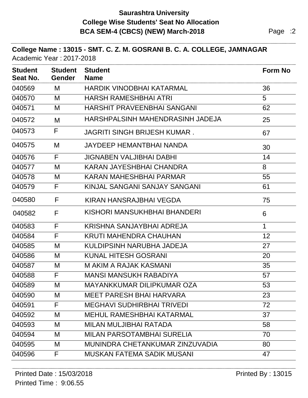### **Saurashtra University BCA SEM-4 (CBCS) (NEW) March-2018** Page :2 **College Wise Students' Seat No Allocation**

#### **College Name : 13015 - SMT. C. Z. M. GOSRANI B. C. A. COLLEGE, JAMNAGAR** Academic Year : 2017-2018

| <b>Student</b><br>Seat No. | <b>Student</b><br><b>Gender</b> | <b>Student</b><br><b>Name</b>       | <b>Form No</b> |
|----------------------------|---------------------------------|-------------------------------------|----------------|
| 040569                     | M                               | HARDIK VINODBHAI KATARMAL           | 36             |
| 040570                     | M                               | <b>HARSH RAMESHBHAI ATRI</b>        | 5              |
| 040571                     | M                               | <b>HARSHIT PRAVEENBHAI SANGANI</b>  | 62             |
| 040572                     | M                               | HARSHPALSINH MAHENDRASINH JADEJA    | 25             |
| 040573                     | F                               | <b>JAGRITI SINGH BRIJESH KUMAR.</b> | 67             |
| 040575                     | M                               | JAYDEEP HEMANTBHAI NANDA            | 30             |
| 040576                     | F                               | <b>JIGNABEN VALJIBHAI DABHI</b>     | 14             |
| 040577                     | M                               | KARAN JAYESHBHAI CHANDRA            | 8              |
| 040578                     | M                               | KARAN MAHESHBHAI PARMAR             | 55             |
| 040579                     | F                               | KINJAL SANGANI SANJAY SANGANI       | 61             |
| 040580                     | F                               | KIRAN HANSRAJBHAI VEGDA             | 75             |
| 040582                     | F                               | KISHORI MANSUKHBHAI BHANDERI        | 6              |
| 040583                     | F                               | KRISHNA SANJAYBHAI ADREJA           | $\mathbf 1$    |
| 040584                     | F                               | <b>KRUTI MAHENDRA CHAUHAN</b>       | 12             |
| 040585                     | M                               | KULDIPSINH NARUBHA JADEJA           | 27             |
| 040586                     | M                               | <b>KUNAL HITESH GOSRANI</b>         | 20             |
| 040587                     | M                               | <b>MAKIMA RAJAK KASMANI</b>         | 35             |
| 040588                     | F                               | <b>MANSI MANSUKH RABADIYA</b>       | 57             |
| 040589                     | M                               | MAYANKKUMAR DILIPKUMAR OZA          | 53             |
| 040590                     | M                               | <b>MEET PARESH BHAI HARVARA</b>     | 23             |
| 040591                     | F                               | <b>MEGHAVI SUDHIRBHAI TRIVEDI</b>   | 72             |
| 040592                     | M                               | <b>MEHUL RAMESHBHAI KATARMAL</b>    | 37             |
| 040593                     | M                               | MILAN MULJIBHAI RATADA              | 58             |
| 040594                     | M                               | <b>MILAN PARSOTAMBHAI SURELIA</b>   | 70             |
| 040595                     | M                               | MUNINDRA CHETANKUMAR ZINZUVADIA     | 80             |
| 040596                     | F                               | <b>MUSKAN FATEMA SADIK MUSANI</b>   | 47             |